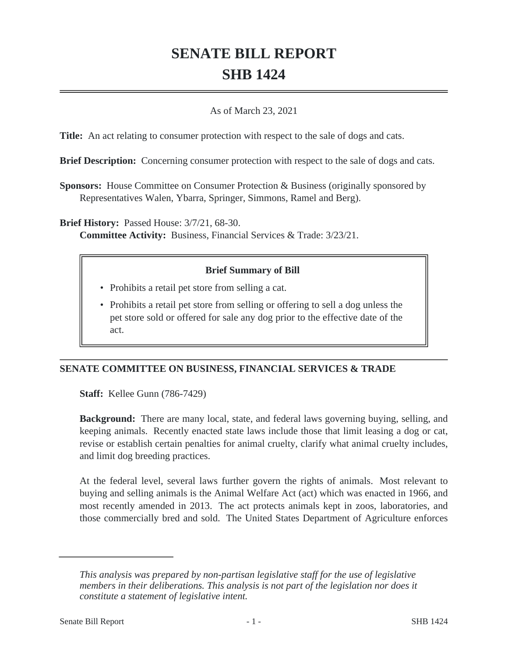# **SENATE BILL REPORT SHB 1424**

### As of March 23, 2021

**Title:** An act relating to consumer protection with respect to the sale of dogs and cats.

**Brief Description:** Concerning consumer protection with respect to the sale of dogs and cats.

**Sponsors:** House Committee on Consumer Protection & Business (originally sponsored by Representatives Walen, Ybarra, Springer, Simmons, Ramel and Berg).

**Brief History:** Passed House: 3/7/21, 68-30.

**Committee Activity:** Business, Financial Services & Trade: 3/23/21.

# **Brief Summary of Bill**

- Prohibits a retail pet store from selling a cat.
- Prohibits a retail pet store from selling or offering to sell a dog unless the pet store sold or offered for sale any dog prior to the effective date of the act.

# **SENATE COMMITTEE ON BUSINESS, FINANCIAL SERVICES & TRADE**

**Staff:** Kellee Gunn (786-7429)

**Background:** There are many local, state, and federal laws governing buying, selling, and keeping animals. Recently enacted state laws include those that limit leasing a dog or cat, revise or establish certain penalties for animal cruelty, clarify what animal cruelty includes, and limit dog breeding practices.

At the federal level, several laws further govern the rights of animals. Most relevant to buying and selling animals is the Animal Welfare Act (act) which was enacted in 1966, and most recently amended in 2013. The act protects animals kept in zoos, laboratories, and those commercially bred and sold. The United States Department of Agriculture enforces

*This analysis was prepared by non-partisan legislative staff for the use of legislative members in their deliberations. This analysis is not part of the legislation nor does it constitute a statement of legislative intent.*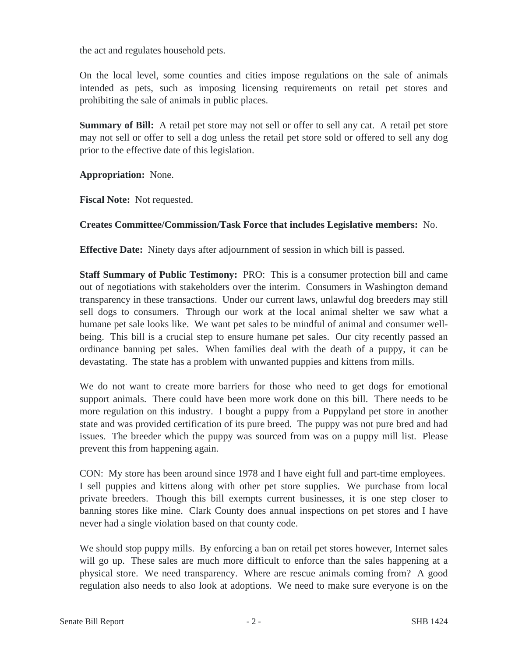the act and regulates household pets.

On the local level, some counties and cities impose regulations on the sale of animals intended as pets, such as imposing licensing requirements on retail pet stores and prohibiting the sale of animals in public places.

**Summary of Bill:** A retail pet store may not sell or offer to sell any cat. A retail pet store may not sell or offer to sell a dog unless the retail pet store sold or offered to sell any dog prior to the effective date of this legislation.

**Appropriation:** None.

**Fiscal Note:** Not requested.

### **Creates Committee/Commission/Task Force that includes Legislative members:** No.

**Effective Date:** Ninety days after adjournment of session in which bill is passed.

**Staff Summary of Public Testimony:** PRO: This is a consumer protection bill and came out of negotiations with stakeholders over the interim. Consumers in Washington demand transparency in these transactions. Under our current laws, unlawful dog breeders may still sell dogs to consumers. Through our work at the local animal shelter we saw what a humane pet sale looks like. We want pet sales to be mindful of animal and consumer wellbeing. This bill is a crucial step to ensure humane pet sales. Our city recently passed an ordinance banning pet sales. When families deal with the death of a puppy, it can be devastating. The state has a problem with unwanted puppies and kittens from mills.

We do not want to create more barriers for those who need to get dogs for emotional support animals. There could have been more work done on this bill. There needs to be more regulation on this industry. I bought a puppy from a Puppyland pet store in another state and was provided certification of its pure breed. The puppy was not pure bred and had issues. The breeder which the puppy was sourced from was on a puppy mill list. Please prevent this from happening again.

CON: My store has been around since 1978 and I have eight full and part-time employees. I sell puppies and kittens along with other pet store supplies. We purchase from local private breeders. Though this bill exempts current businesses, it is one step closer to banning stores like mine. Clark County does annual inspections on pet stores and I have never had a single violation based on that county code.

We should stop puppy mills. By enforcing a ban on retail pet stores however, Internet sales will go up. These sales are much more difficult to enforce than the sales happening at a physical store. We need transparency. Where are rescue animals coming from? A good regulation also needs to also look at adoptions. We need to make sure everyone is on the